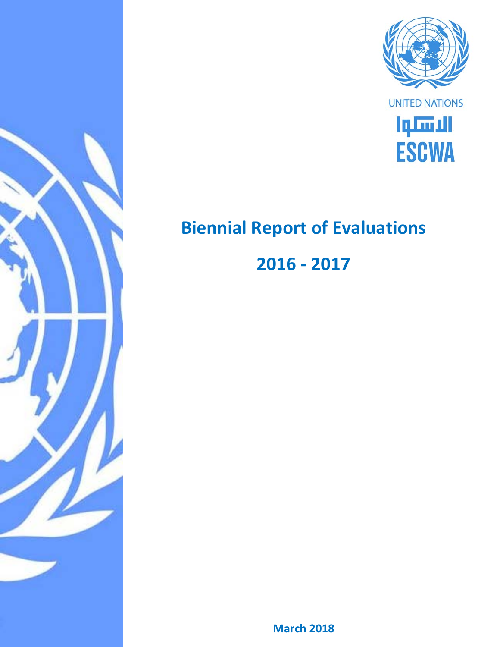



# **Biennial Report of Evaluations**

**2016 - 2017**

**March 2018**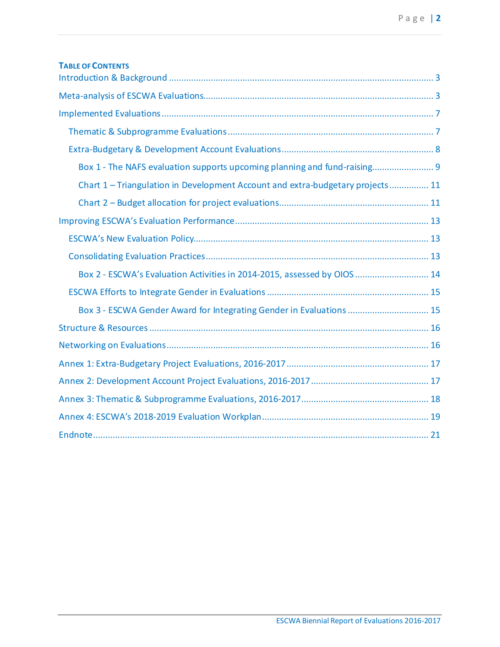| <b>TABLE OF CONTENTS</b>                                                       |
|--------------------------------------------------------------------------------|
|                                                                                |
|                                                                                |
|                                                                                |
|                                                                                |
| Box 1 - The NAFS evaluation supports upcoming planning and fund-raising 9      |
| Chart 1 - Triangulation in Development Account and extra-budgetary projects 11 |
|                                                                                |
|                                                                                |
|                                                                                |
|                                                                                |
| Box 2 - ESCWA's Evaluation Activities in 2014-2015, assessed by OIOS  14       |
|                                                                                |
| Box 3 - ESCWA Gender Award for Integrating Gender in Evaluations  15           |
|                                                                                |
|                                                                                |
|                                                                                |
|                                                                                |
|                                                                                |
|                                                                                |
|                                                                                |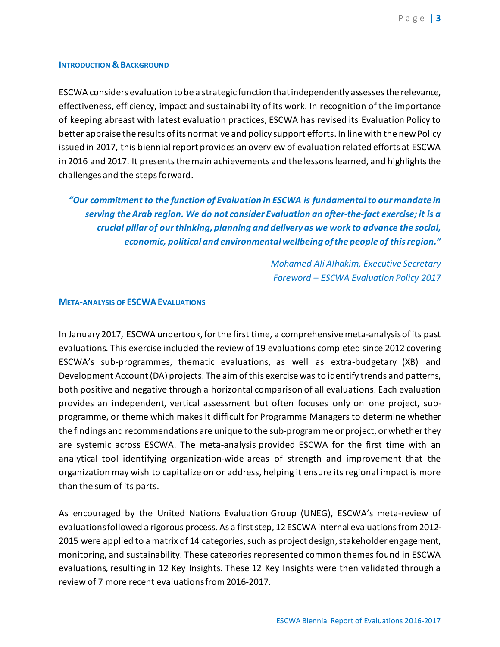#### <span id="page-2-0"></span>**INTRODUCTION & BACKGROUND**

ESCWA considers evaluation to be a strategic function that independently assesses the relevance, effectiveness, efficiency, impact and sustainability of its work. In recognition of the importance of keeping abreast with latest evaluation practices, ESCWA has revised its Evaluation Policy to better appraise the results of its normative and policy support efforts. In line with the new Policy issued in 2017, this biennial report provides an overview of evaluation related efforts at ESCWA in 2016 and 2017. It presents the main achievements and the lessons learned, and highlights the challenges and the steps forward.

*"Our commitment to the function of Evaluation in ESCWA is fundamental to our mandate in serving the Arab region. We do not consider Evaluation an after-the-fact exercise; it is a crucial pillar of our thinking, planning and delivery as we work to advance the social, economic, political and environmental wellbeing of the people of this region."*

> *Mohamed Ali Alhakim, Executive Secretary Foreword – ESCWA Evaluation Policy 2017*

#### <span id="page-2-1"></span>**META-ANALYSIS OF ESCWA EVALUATIONS**

In January 2017, ESCWA undertook, for the first time, a comprehensive meta-analysis of its past evaluations. This exercise included the review of 19 evaluations completed since 2012 covering ESCWA's sub-programmes, thematic evaluations, as well as extra-budgetary (XB) and Development Account (DA) projects. The aim of this exercise was to identify trends and patterns, both positive and negative through a horizontal comparison of all evaluations. Each evaluation provides an independent, vertical assessment but often focuses only on one project, subprogramme, or theme which makes it difficult for Programme Managers to determine whether the findings and recommendationsare unique to the sub-programme or project, or whether they are systemic across ESCWA. The meta-analysis provided ESCWA for the first time with an analytical tool identifying organization-wide areas of strength and improvement that the organization may wish to capitalize on or address, helping it ensure its regional impact is more than the sum of its parts.

As encouraged by the United Nations Evaluation Group (UNEG), ESCWA's meta-review of evaluations followed a rigorous process. As a first step, 12 ESCWA internal evaluations from 2012- 2015 were applied to a matrix of 14 categories, such as project design, stakeholder engagement, monitoring, and sustainability. These categories represented common themes found in ESCWA evaluations, resulting in 12 Key Insights. These 12 Key Insights were then validated through a review of 7 more recent evaluations from 2016-2017.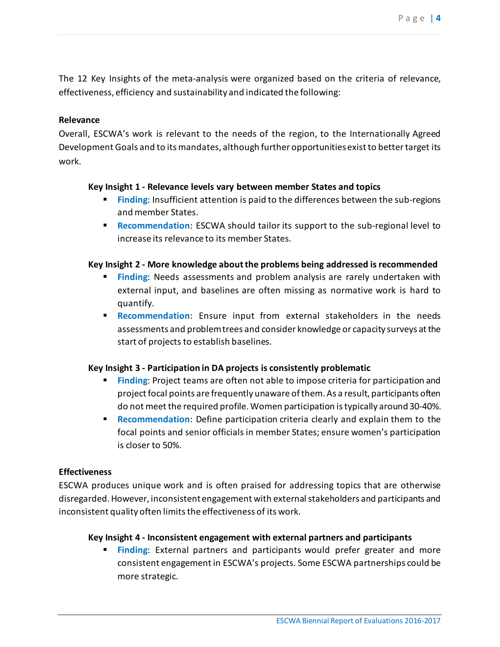The 12 Key Insights of the meta-analysis were organized based on the criteria of relevance, effectiveness, efficiency and sustainability and indicated the following:

## **Relevance**

Overall, ESCWA's work is relevant to the needs of the region, to the Internationally Agreed Development Goals and to its mandates, although further opportunities exist to better target its work.

## **Key Insight 1 - Relevance levels vary between member States and topics**

- **Finding:** Insufficient attention is paid to the differences between the sub-regions and member States.
- **Recommendation:** ESCWA should tailor its support to the sub-regional level to increase its relevance to its member States.

## **Key Insight 2 - More knowledge about the problems being addressed is recommended**

- **Finding**: Needs assessments and problem analysis are rarely undertaken with external input, and baselines are often missing as normative work is hard to quantify.
- **Recommendation**: Ensure input from external stakeholders in the needs assessments and problem trees and consider knowledge or capacity surveys at the start of projects to establish baselines.

## **Key Insight 3 - Participation in DA projects is consistently problematic**

- **Finding:** Project teams are often not able to impose criteria for participation and project focal points are frequently unaware ofthem. As a result, participants often do not meet the required profile.Women participation is typically around 30-40%.
- **Recommendation:** Define participation criteria clearly and explain them to the focal points and senior officials in member States; ensure women's participation is closer to 50%.

## **Effectiveness**

ESCWA produces unique work and is often praised for addressing topics that are otherwise disregarded.However, inconsistent engagement with external stakeholders and participants and inconsistent quality often limits the effectiveness of its work.

## **Key Insight 4 - Inconsistent engagement with external partners and participants**

**Finding:** External partners and participants would prefer greater and more consistent engagement in ESCWA's projects. Some ESCWA partnerships could be more strategic.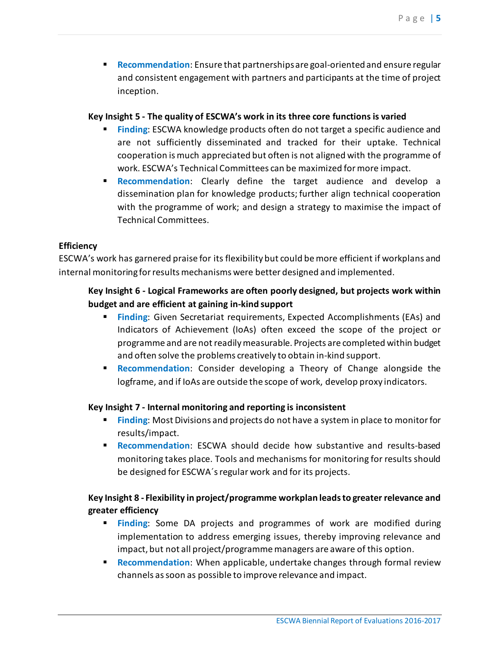**Recommendation:** Ensure that partnerships are goal-oriented and ensure regular and consistent engagement with partners and participants at the time of project inception.

## **Key Insight 5 - The quality of ESCWA's work in its three core functions is varied**

- **Finding**: ESCWA knowledge products often do not target a specific audience and are not sufficiently disseminated and tracked for their uptake. Technical cooperation is much appreciated but often is not aligned with the programme of work. ESCWA's Technical Committees can be maximized for more impact.
- **Recommendation**: Clearly define the target audience and develop a dissemination plan for knowledge products; further align technical cooperation with the programme of work; and design a strategy to maximise the impact of Technical Committees.

## **Efficiency**

ESCWA's work has garnered praise for its flexibility but could be more efficient if workplans and internal monitoring for results mechanisms were better designed and implemented.

## **Key Insight 6 - Logical Frameworks are often poorly designed, but projects work within budget and are efficient at gaining in-kind support**

- **Finding:** Given Secretariat requirements, Expected Accomplishments (EAs) and Indicators of Achievement (IoAs) often exceed the scope of the project or programme and are not readily measurable. Projects are completed within budget and often solve the problems creatively to obtain in-kind support.
- **Recommendation**: Consider developing a Theory of Change alongside the logframe, and if IoAs are outside the scope of work, develop proxy indicators.

## **Key Insight 7 - Internal monitoring and reporting is inconsistent**

- **Finding:** Most Divisions and projects do not have a system in place to monitor for results/impact.
- **Recommendation**: ESCWA should decide how substantive and results-based monitoring takes place. Tools and mechanisms for monitoring for results should be designed for ESCWA´s regular work and for its projects.

## **Key Insight 8 - Flexibility in project/programme workplan leads to greater relevance and greater efficiency**

- **Finding**: Some DA projects and programmes of work are modified during implementation to address emerging issues, thereby improving relevance and impact, but not all project/programme managers are aware of this option.
- **Recommendation**: When applicable, undertake changes through formal review channels as soon as possible to improve relevance and impact.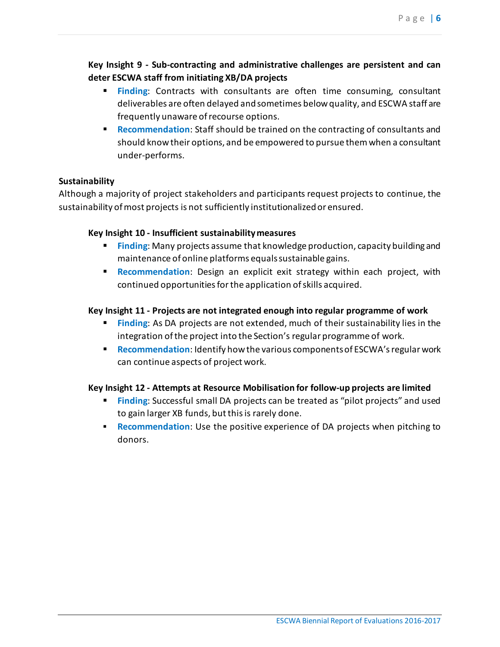## **Key Insight 9 - Sub-contracting and administrative challenges are persistent and can deter ESCWA staff from initiating XB/DA projects**

- **Finding:** Contracts with consultants are often time consuming, consultant deliverables are often delayed and sometimes below quality, and ESCWA staff are frequently unaware of recourse options.
- **Recommendation**: Staff should be trained on the contracting of consultants and should know their options, and be empowered to pursue themwhen a consultant under-performs.

## **Sustainability**

Although a majority of project stakeholders and participants request projects to continue, the sustainability of most projects is not sufficiently institutionalized or ensured.

## **Key Insight 10 - Insufficient sustainability measures**

- **Finding:** Many projects assume that knowledge production, capacity building and maintenance of online platforms equalssustainable gains.
- **Recommendation**: Design an explicit exit strategy within each project, with continued opportunities for the application of skills acquired.

## **Key Insight 11 - Projects are not integrated enough into regular programme of work**

- **Finding**: As DA projects are not extended, much of their sustainability lies in the integration of the project into the Section's regular programme of work.
- **Recommendation**: Identify how the various components of ESCWA's regular work can continue aspects of project work.

## **Key Insight 12 - Attempts at Resource Mobilisation for follow-up projects are limited**

- **Finding:** Successful small DA projects can be treated as "pilot projects" and used to gain larger XB funds, but this is rarely done.
- <span id="page-5-0"></span>**Recommendation:** Use the positive experience of DA projects when pitching to donors.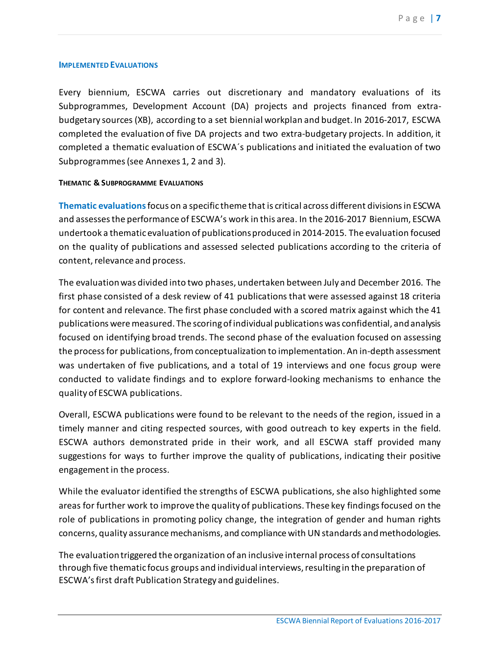#### **IMPLEMENTED EVALUATIONS**

Every biennium, ESCWA carries out discretionary and mandatory evaluations of its Subprogrammes, Development Account (DA) projects and projects financed from extrabudgetary sources (XB), according to a set biennial workplan and budget. In 2016-2017, ESCWA completed the evaluation of five DA projects and two extra-budgetary projects. In addition, it completed a thematic evaluation of ESCWA´s publications and initiated the evaluation of two Subprogrammes(see Annexes 1, 2 and 3).

#### <span id="page-6-0"></span>**THEMATIC & SUBPROGRAMME EVALUATIONS**

**Thematic evaluations**focus on a specific theme that is critical across different divisions in ESCWA and assessesthe performance of ESCWA's work in this area. In the 2016-2017 Biennium, ESCWA undertook a thematic evaluation of publicationsproduced in 2014-2015. The evaluation focused on the quality of publications and assessed selected publications according to the criteria of content, relevance and process.

The evaluation was divided into two phases, undertaken between July and December 2016. The first phase consisted of a desk review of 41 publications that were assessed against 18 criteria for content and relevance. The first phase concluded with a scored matrix against which the 41 publications were measured. The scoring of individual publications was confidential, and analysis focused on identifying broad trends. The second phase of the evaluation focused on assessing the process for publications, from conceptualization to implementation. An in-depth assessment was undertaken of five publications, and a total of 19 interviews and one focus group were conducted to validate findings and to explore forward-looking mechanisms to enhance the quality of ESCWA publications.

Overall, ESCWA publications were found to be relevant to the needs of the region, issued in a timely manner and citing respected sources, with good outreach to key experts in the field. ESCWA authors demonstrated pride in their work, and all ESCWA staff provided many suggestions for ways to further improve the quality of publications, indicating their positive engagement in the process.

While the evaluator identified the strengths of ESCWA publications, she also highlighted some areas for further work to improve the quality of publications. These key findings focused on the role of publications in promoting policy change, the integration of gender and human rights concerns, quality assurance mechanisms, and compliance with UN standards and methodologies.

The evaluation triggered the organization of an inclusive internal process of consultations through five thematic focus groups and individual interviews, resulting in the preparation of ESCWA's first draft Publication Strategy and guidelines.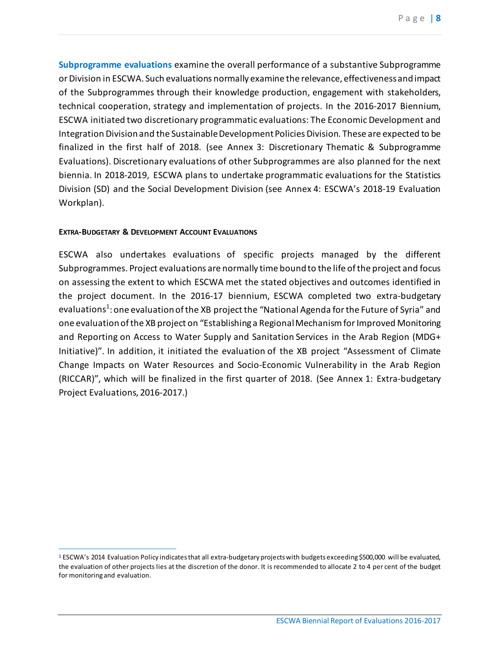**Subprogramme evaluations** examine the overall performance of a substantive Subprogramme or Division in ESCWA. Such evaluations normally examine the relevance, effectiveness and impact of the Subprogrammes through their knowledge production, engagement with stakeholders, technical cooperation, strategy and implementation of projects. In the 2016-2017 Biennium, ESCWA initiated two discretionary programmatic evaluations: The Economic Development and Integration Division and the Sustainable Development Policies Division. These are expected to be finalized in the first half of 2018. (see Annex 3: Discretionary Thematic & Subprogramme Evaluations). Discretionary evaluations of other Subprogrammes are also planned for the next biennia. In 2018-2019, ESCWA plans to undertake programmatic evaluations for the Statistics Division (SD) and the Social Development Division (see Annex 4: ESCWA's 2018-19 Evaluation Workplan).

#### <span id="page-7-0"></span>**EXTRA-BUDGETARY & DEVELOPMENT ACCOUNT EVALUATIONS**

 $\overline{a}$ 

ESCWA also undertakes evaluations of specific projects managed by the different Subprogrammes. Project evaluations are normally time bound to the life of the project and focus on assessing the extent to which ESCWA met the stated objectives and outcomes identified in the project document. In the 2016-17 biennium, ESCWA completed two extra-budgetary evaluations<sup>[1](#page-7-1)</sup>: one evaluation of the XB project the "National Agenda for the Future of Syria" and one evaluation of the XB project on "Establishing a Regional Mechanism for Improved Monitoring and Reporting on Access to Water Supply and Sanitation Services in the Arab Region (MDG+ Initiative)". In addition, it initiated the evaluation of the XB project "Assessment of Climate Change Impacts on Water Resources and Socio-Economic Vulnerability in the Arab Region (RICCAR)", which will be finalized in the first quarter of 2018. (See Annex 1: Extra-budgetary Project Evaluations, 2016-2017.)

<span id="page-7-1"></span><sup>1</sup> ESCWA's 2014 Evaluation Policy indicates that all extra-budgetary projects with budgets exceeding \$500,000 will be evaluated, the evaluation of other projects lies at the discretion of the donor. It is recommended to allocate 2 to 4 per cent of the budget for monitoring and evaluation.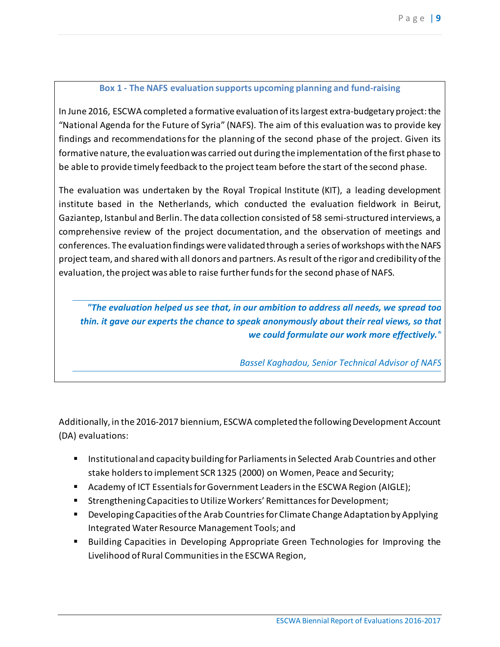## **Box 1 - The NAFS evaluation supports upcoming planning and fund-raising**

<span id="page-8-0"></span>In June 2016, ESCWA completed a formative evaluation of its largest extra-budgetary project: the "National Agenda for the Future of Syria" (NAFS). The aim of this evaluation was to provide key findings and recommendations for the planning of the second phase of the project. Given its formative nature, the evaluation was carried out during the implementation of the first phase to be able to provide timely feedback to the project team before the start of the second phase.

The evaluation was undertaken by the Royal Tropical Institute (KIT), a leading development institute based in the Netherlands, which conducted the evaluation fieldwork in Beirut, Gaziantep, Istanbul and Berlin. The data collection consisted of 58 semi-structured interviews, a comprehensive review of the project documentation, and the observation of meetings and conferences. The evaluation findings were validated through a series of workshops with the NAFS project team, and shared with all donors and partners. As result of the rigor and credibility of the evaluation, the project was able to raise further funds for the second phase of NAFS.

*"The evaluation helped us see that, in our ambition to address all needs, we spread too thin. it gave our experts the chance to speak anonymously about their real views, so that we could formulate our work more effectively."*

*Bassel Kaghadou, Senior Technical Advisor of NAFS*

Additionally, in the 2016-2017 biennium, ESCWA completed the following Development Account (DA) evaluations:

- Institutional and capacity building for Parliaments in Selected Arab Countries and other stake holders to implement SCR 1325 (2000) on Women, Peace and Security;
- Academy of ICT Essentials for Government Leaders in the ESCWA Region (AIGLE);
- Strengthening Capacities to Utilize Workers' Remittances for Development;
- Developing Capacities of the Arab Countries for Climate Change Adaptation by Applying Integrated Water Resource Management Tools; and
- Building Capacities in Developing Appropriate Green Technologies for Improving the Livelihood of Rural Communities in the ESCWA Region,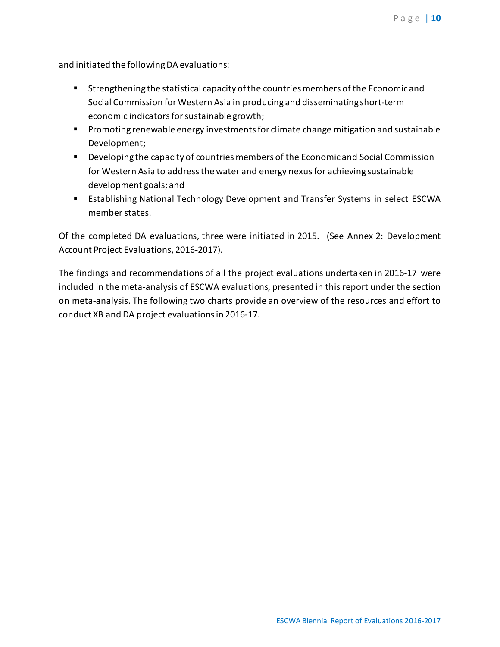and initiated the following DA evaluations:

- Strengthening the statistical capacity of the countries members of the Economic and Social Commission for Western Asia in producing and disseminating short-term economic indicators for sustainable growth;
- **Promoting renewable energy investments for climate change mitigation and sustainable** Development;
- Developing the capacity of countries members of the Economic and Social Commission for Western Asia to address the water and energy nexus for achieving sustainable development goals; and
- **Establishing National Technology Development and Transfer Systems in select ESCWA** member states.

Of the completed DA evaluations, three were initiated in 2015. (See Annex 2: Development Account Project Evaluations, 2016-2017).

The findings and recommendations of all the project evaluations undertaken in 2016-17 were included in the meta-analysis of ESCWA evaluations, presented in this report under the section on meta-analysis. The following two charts provide an overview of the resources and effort to conduct XB and DA project evaluations in 2016-17.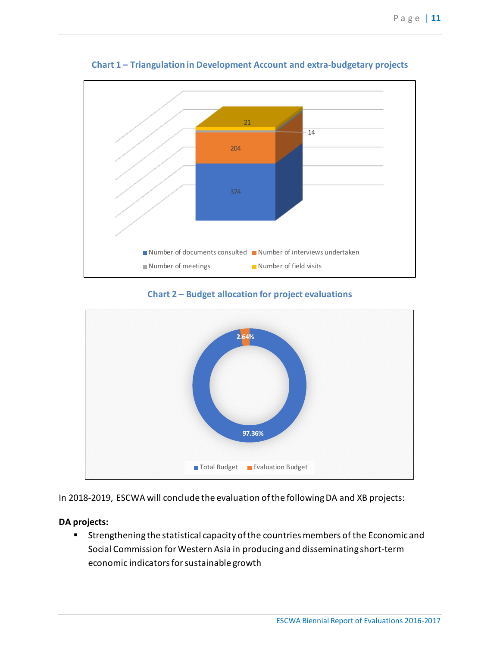<span id="page-10-0"></span>

**Chart 1 – Triangulation in Development Account and extra-budgetary projects**

**Chart 2 – Budget allocation for project evaluations** 

<span id="page-10-1"></span>

In 2018-2019, ESCWA will conclude the evaluation of the following DA and XB projects:

## **DA projects:**

**Strengthening the statistical capacity of the countries members of the Economic and** Social Commission for Western Asia in producing and disseminating short-term economic indicators for sustainable growth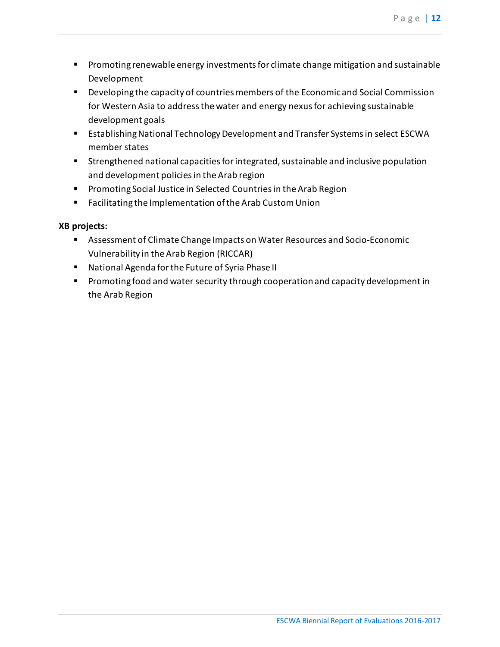- **Promoting renewable energy investments for climate change mitigation and sustainable** Development
- Developing the capacity of countries members of the Economic and Social Commission for Western Asia to address the water and energy nexus for achieving sustainable development goals
- **Establishing National Technology Development and Transfer Systems in select ESCWA** member states
- Strengthened national capacities for integrated, sustainable and inclusive population and development policies in the Arab region
- **Promoting Social Justice in Selected Countries in the Arab Region**
- Facilitating the Implementation of the Arab Custom Union

## **XB projects:**

- Assessment of Climate Change Impacts on Water Resources and Socio-Economic Vulnerability in the Arab Region (RICCAR)
- National Agenda for the Future of Syria Phase II
- <span id="page-11-0"></span>**Promoting food and water security through cooperation and capacity development in** the Arab Region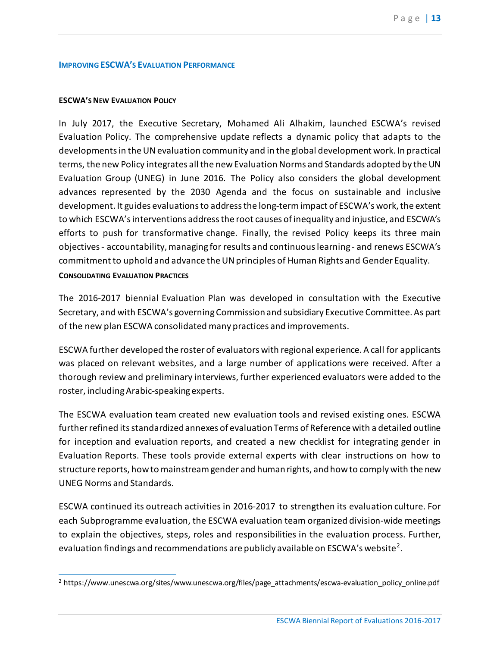#### **IMPROVING ESCWA'S EVALUATION PERFORMANCE**

#### <span id="page-12-0"></span>**ESCWA'S NEW EVALUATION POLICY**

In July 2017, the Executive Secretary, Mohamed Ali Alhakim, launched ESCWA's revised Evaluation Policy. The comprehensive update reflects a dynamic policy that adapts to the developments in the UN evaluation community and in the global development work. In practical terms, the new Policy integrates all the new Evaluation Norms and Standards adopted by the UN Evaluation Group (UNEG) in June 2016. The Policy also considers the global development advances represented by the 2030 Agenda and the focus on sustainable and inclusive development. It guides evaluations to address the long-term impact of ESCWA's work, the extent to which ESCWA's interventions address the root causes of inequality and injustice, and ESCWA's efforts to push for transformative change. Finally, the revised Policy keeps its three main objectives - accountability, managing for results and continuous learning - and renews ESCWA's commitment to uphold and advance the UN principles of Human Rights and Gender Equality. **CONSOLIDATING EVALUATION PRACTICES** 

<span id="page-12-1"></span>The 2016-2017 biennial Evaluation Plan was developed in consultation with the Executive Secretary, and with ESCWA's governing Commission and subsidiary Executive Committee. As part of the new plan ESCWA consolidated many practices and improvements.

ESCWA further developed the roster of evaluators with regional experience. A call for applicants was placed on relevant websites, and a large number of applications were received. After a thorough review and preliminary interviews, further experienced evaluators were added to the roster, including Arabic-speaking experts.

The ESCWA evaluation team created new evaluation tools and revised existing ones. ESCWA further refined its standardized annexes of evaluation Terms of Reference with a detailed outline for inception and evaluation reports, and created a new checklist for integrating gender in Evaluation Reports. These tools provide external experts with clear instructions on how to structure reports, how to mainstreamgender and human rights, and how to comply with the new UNEG Norms and Standards.

ESCWA continued its outreach activities in 2016-2017 to strengthen its evaluation culture. For each Subprogramme evaluation, the ESCWA evaluation team organized division-wide meetings to explain the objectives, steps, roles and responsibilities in the evaluation process. Further, evaluation findings and recommendations are publicly available on ESCWA's website<sup>[2](#page-12-2)</sup>.

<span id="page-12-2"></span> $\overline{a}$ <sup>2</sup> https://www.unescwa.org/sites/www.unescwa.org/files/page\_attachments/escwa-evaluation\_policy\_online.pdf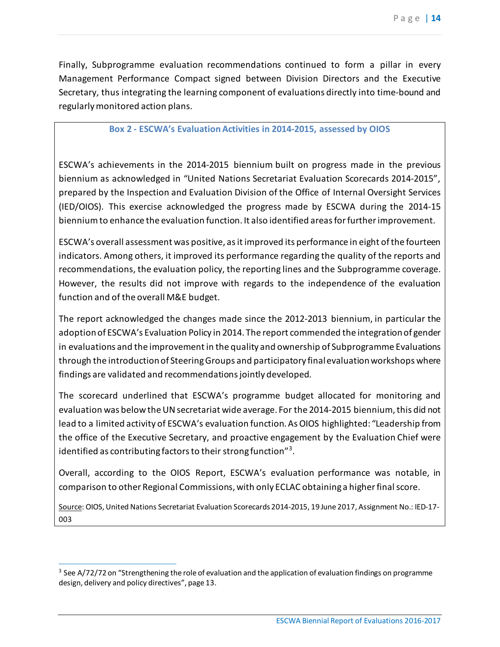Finally, Subprogramme evaluation recommendations continued to form a pillar in every Management Performance Compact signed between Division Directors and the Executive Secretary, thus integrating the learning component of evaluations directly into time-bound and regularly monitored action plans.

#### **Box 2 - ESCWA's Evaluation Activities in 2014-2015, assessed by OIOS**

<span id="page-13-0"></span>ESCWA's achievements in the 2014-2015 biennium built on progress made in the previous biennium as acknowledged in "United Nations Secretariat Evaluation Scorecards 2014-2015", prepared by the Inspection and Evaluation Division of the Office of Internal Oversight Services (IED/OIOS). This exercise acknowledged the progress made by ESCWA during the 2014-15 biennium to enhance the evaluation function. It also identified areas for further improvement.

ESCWA's overall assessment was positive, as it improved its performance in eight of the fourteen indicators. Among others, it improved its performance regarding the quality of the reports and recommendations, the evaluation policy, the reporting lines and the Subprogramme coverage. However, the results did not improve with regards to the independence of the evaluation function and of the overall M&E budget.

The report acknowledged the changes made since the 2012-2013 biennium, in particular the adoption of ESCWA's Evaluation Policy in 2014. The report commended the integration of gender in evaluations and the improvement in the quality and ownership of Subprogramme Evaluations through the introduction of Steering Groups and participatory final evaluation workshops where findings are validated and recommendations jointly developed.

The scorecard underlined that ESCWA's programme budget allocated for monitoring and evaluation was below the UN secretariat wide average. For the 2014-2015 biennium, this did not lead to a limited activity of ESCWA's evaluation function. As OIOS highlighted: "Leadership from the office of the Executive Secretary, and proactive engagement by the Evaluation Chief were identified as contributing factors to their strong function" $^{\prime\prime}$  .

Overall, according to the OIOS Report, ESCWA's evaluation performance was notable, in comparison to other Regional Commissions, with only ECLAC obtaining a higher final score.

Source: OIOS, United Nations Secretariat Evaluation Scorecards 2014-2015, 19 June 2017, Assignment No.: IED-17- 003

<span id="page-13-1"></span> $\overline{a}$ <sup>3</sup> See A/72/72 on "Strengthening the role of evaluation and the application of evaluation findings on programme design, delivery and policy directives", page 13.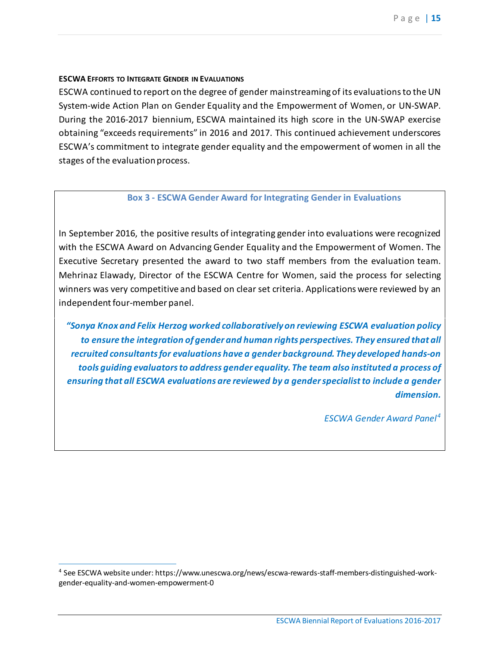#### <span id="page-14-0"></span>**ESCWA EFFORTS TO INTEGRATE GENDER IN EVALUATIONS**

ESCWA continued to report on the degree of gender mainstreaming of its evaluations to the UN System-wide Action Plan on Gender Equality and the Empowerment of Women, or UN-SWAP. During the 2016-2017 biennium, ESCWA maintained its high score in the UN-SWAP exercise obtaining "exceeds requirements" in 2016 and 2017. This continued achievement underscores ESCWA's commitment to integrate gender equality and the empowerment of women in all the stages of the evaluation process.

## <span id="page-14-1"></span>**Box 3 - ESCWA Gender Award for Integrating Gender in Evaluations**

In September 2016, the positive results of integrating gender into evaluations were recognized with the ESCWA Award on Advancing Gender Equality and the Empowerment of Women. The Executive Secretary presented the award to two staff members from the evaluation team. Mehrinaz Elawady, Director of the ESCWA Centre for Women, said the process for selecting winners was very competitive and based on clear set criteria. Applications were reviewed by an independent four-member panel.

*"Sonya Knox and Felix Herzog worked collaboratively on reviewing ESCWA evaluation policy to ensure the integration of gender and human rights perspectives. They ensured that all recruited consultants for evaluations have a gender background. They developed hands-on tools guiding evaluators to address gender equality. The team also instituted a process of ensuring that all ESCWA evaluations are reviewed by a gender specialist to include a gender dimension.*

*ESCWA Gender Award Panel[4](#page-14-3)*

<span id="page-14-3"></span><span id="page-14-2"></span> $\overline{a}$ <sup>4</sup> See ESCWA website under: https://www.unescwa.org/news/escwa-rewards-staff-members-distinguished-workgender-equality-and-women-empowerment-0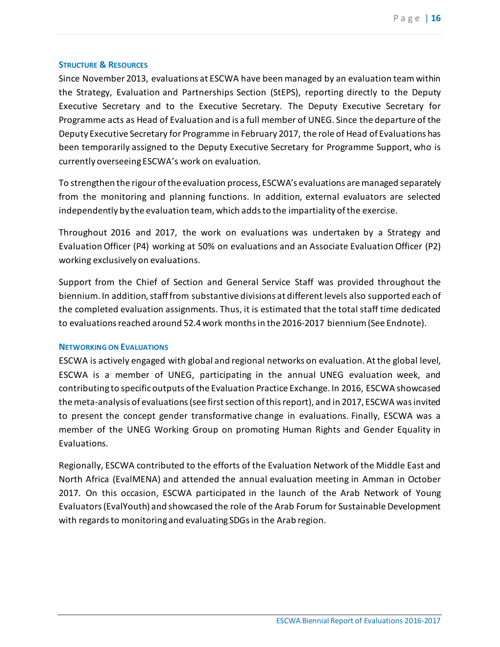#### **STRUCTURE & RESOURCES**

Since November 2013, evaluations at ESCWA have been managed by an evaluation team within the Strategy, Evaluation and Partnerships Section (StEPS), reporting directly to the Deputy Executive Secretary and to the Executive Secretary. The Deputy Executive Secretary for Programme acts as Head of Evaluation and is a full member of UNEG. Since the departure of the Deputy Executive Secretary for Programme in February 2017, the role of Head of Evaluations has been temporarily assigned to the Deputy Executive Secretary for Programme Support, who is currently overseeing ESCWA's work on evaluation.

To strengthen the rigour of the evaluation process, ESCWA's evaluations are managed separately from the monitoring and planning functions. In addition, external evaluators are selected independently by the evaluation team, which adds to the impartiality of the exercise.

Throughout 2016 and 2017, the work on evaluations was undertaken by a Strategy and Evaluation Officer (P4) working at 50% on evaluations and an Associate Evaluation Officer (P2) working exclusively on evaluations.

Support from the Chief of Section and General Service Staff was provided throughout the biennium. In addition, staff from substantive divisions at different levels also supported each of the completed evaluation assignments. Thus, it is estimated that the total staff time dedicated to evaluations reached around 52.4 work months in the 2016-2017 biennium (See Endnote).

#### <span id="page-15-0"></span>**NETWORKING ON EVALUATIONS**

ESCWA is actively engaged with global and regional networks on evaluation. At the global level, ESCWA is a member of UNEG, participating in the annual UNEG evaluation week, and contributing to specific outputs of the Evaluation Practice Exchange. In 2016, ESCWA showcased the meta-analysis of evaluations (see first section of this report), and in 2017, ESCWA was invited to present the concept gender transformative change in evaluations. Finally, ESCWA was a member of the UNEG Working Group on promoting Human Rights and Gender Equality in Evaluations.

<span id="page-15-1"></span>Regionally, ESCWA contributed to the efforts of the Evaluation Network of the Middle East and North Africa (EvalMENA) and attended the annual evaluation meeting in Amman in October 2017. On this occasion, ESCWA participated in the launch of the Arab Network of Young Evaluators (EvalYouth) and showcased the role of the Arab Forum for Sustainable Development with regards to monitoring and evaluating SDGs in the Arab region.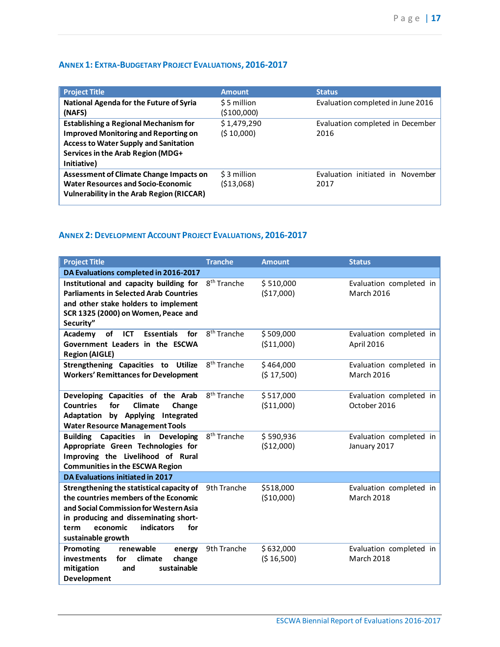## **ANNEX 1: EXTRA-BUDGETARY PROJECT EVALUATIONS, 2016-2017**

| <b>Project Title</b>                                                                                                                            | <b>Amount</b>               | <b>Status</b>                            |
|-------------------------------------------------------------------------------------------------------------------------------------------------|-----------------------------|------------------------------------------|
| National Agenda for the Future of Syria<br>(NAFS)                                                                                               | \$5 million<br>( \$100,000] | Evaluation completed in June 2016        |
| <b>Establishing a Regional Mechanism for</b>                                                                                                    | \$1,479,290                 | Evaluation completed in December         |
| <b>Improved Monitoring and Reporting on</b><br><b>Access to Water Supply and Sanitation</b><br>Services in the Arab Region (MDG+<br>Initiative) | (510,000)                   | 2016                                     |
| <b>Assessment of Climate Change Impacts on</b><br><b>Water Resources and Socio-Economic</b><br>Vulnerability in the Arab Region (RICCAR)        | \$3 million<br>(513,068)    | Evaluation initiated in November<br>2017 |

## <span id="page-16-0"></span>**ANNEX 2: DEVELOPMENT ACCOUNT PROJECT EVALUATIONS, 2016-2017**

| <b>Project Title</b>                                                                                                                                                                                                                 | <b>Tranche</b>          | <b>Amount</b>            | <b>Status</b>                                |
|--------------------------------------------------------------------------------------------------------------------------------------------------------------------------------------------------------------------------------------|-------------------------|--------------------------|----------------------------------------------|
| DA Evaluations completed in 2016-2017                                                                                                                                                                                                |                         |                          |                                              |
| Institutional and capacity building for<br><b>Parliaments in Selected Arab Countries</b><br>and other stake holders to implement<br>SCR 1325 (2000) on Women, Peace and<br>Security"                                                 | 8 <sup>th</sup> Tranche | \$510,000<br>(\$17,000)  | Evaluation completed in<br>March 2016        |
| Academy<br>of<br>ICT<br>for<br><b>Essentials</b><br>Government Leaders in the ESCWA<br><b>Region (AIGLE)</b>                                                                                                                         | 8 <sup>th</sup> Tranche | \$509,000<br>( \$11,000) | Evaluation completed in<br>April 2016        |
| Strengthening Capacities to Utilize<br><b>Workers' Remittances for Development</b>                                                                                                                                                   | 8 <sup>th</sup> Tranche | \$464,000<br>(517,500)   | Evaluation completed in<br><b>March 2016</b> |
| Developing Capacities of the Arab<br><b>Countries</b><br><b>Climate</b><br>for<br>Change<br>by Applying Integrated<br>Adaptation<br><b>Water Resource Management Tools</b>                                                           | 8 <sup>th</sup> Tranche | \$517,000<br>( \$11,000) | Evaluation completed in<br>October 2016      |
| <b>Building Capacities in Developing</b><br>Appropriate Green Technologies for<br>Improving the Livelihood of Rural<br><b>Communities in the ESCWA Region</b>                                                                        | 8 <sup>th</sup> Tranche | \$590,936<br>(\$12,000)  | Evaluation completed in<br>January 2017      |
| DA Evaluations initiated in 2017                                                                                                                                                                                                     |                         |                          |                                              |
| Strengthening the statistical capacity of<br>the countries members of the Economic<br>and Social Commission for Western Asia<br>in producing and disseminating short-<br>indicators<br>economic<br>for<br>term<br>sustainable growth | 9th Tranche             | \$518,000<br>(\$10,000)  | Evaluation completed in<br><b>March 2018</b> |
| renewable<br>Promoting<br>energy<br><b>investments</b><br>climate<br>change<br>for<br>sustainable<br>mitigation<br>and<br><b>Development</b>                                                                                         | 9th Tranche             | \$632,000<br>(\$16,500)  | Evaluation completed in<br>March 2018        |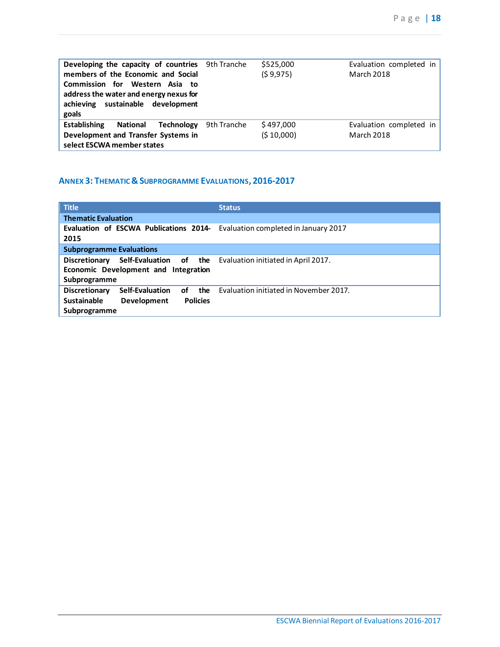| <b>Developing the capacity of countries</b> 9th Tranche<br>members of the Economic and Social<br>Commission for Western Asia to<br>address the water and energy nexus for<br>achieving sustainable development<br>goals |             | \$525,000<br>(59,975) | Evaluation completed in<br>March 2018 |
|-------------------------------------------------------------------------------------------------------------------------------------------------------------------------------------------------------------------------|-------------|-----------------------|---------------------------------------|
| <b>Establishing</b><br><b>National</b><br>Technology                                                                                                                                                                    | 9th Tranche | \$497,000             | Evaluation completed in               |
| Development and Transfer Systems in<br>select ESCWA member states                                                                                                                                                       |             | (510,000)             | March 2018                            |

## <span id="page-17-0"></span>**ANNEX 3: THEMATIC & SUBPROGRAMME EVALUATIONS, 2016-2017**

| <b>Title</b>                                                                | <b>Status</b>                                              |
|-----------------------------------------------------------------------------|------------------------------------------------------------|
| <b>Thematic Evaluation</b>                                                  |                                                            |
| Evaluation of ESCWA Publications 2014- Evaluation completed in January 2017 |                                                            |
| 2015                                                                        |                                                            |
| <b>Subprogramme Evaluations</b>                                             |                                                            |
| <b>Discretionary</b>                                                        | Self-Evaluation of the Evaluation initiated in April 2017. |
| Economic Development and Integration                                        |                                                            |
| Subprogramme                                                                |                                                            |
| <b>Self-Evaluation</b><br><b>Discretionary</b><br>the<br>of                 | Evaluation initiated in November 2017.                     |
| <b>Sustainable</b><br>Development<br><b>Policies</b>                        |                                                            |
| Subprogramme                                                                |                                                            |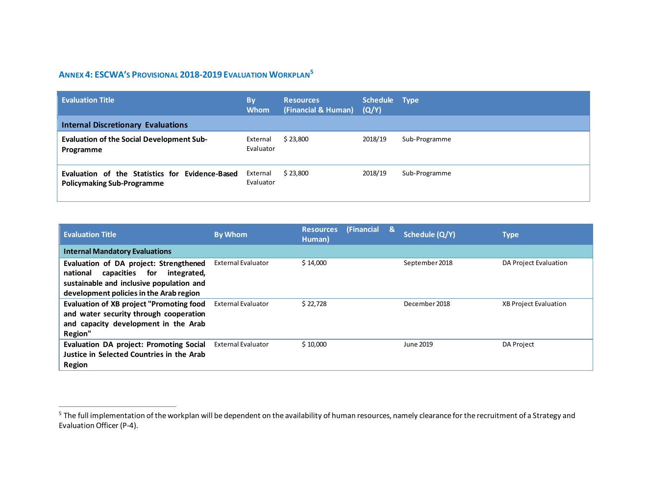## <span id="page-18-1"></span>**ANNEX 4: ESCWA'S PROVISIONAL 2018-2019 EVALUATION WORKPLAN[5](#page-18-1)**

| <b>Evaluation Title</b>                                                              | <b>By</b><br><b>Whom</b> | <b>Resources</b><br>(Financial & Human) | Schedule Type<br>(Q/Y) |               |
|--------------------------------------------------------------------------------------|--------------------------|-----------------------------------------|------------------------|---------------|
| <b>Internal Discretionary Evaluations</b>                                            |                          |                                         |                        |               |
| <b>Evaluation of the Social Development Sub-</b><br>Programme                        | External<br>Evaluator    | \$23,800                                | 2018/19                | Sub-Programme |
| Evaluation of the Statistics for Evidence-Based<br><b>Policymaking Sub-Programme</b> | External<br>Evaluator    | \$23,800                                | 2018/19                | Sub-Programme |

<span id="page-18-0"></span>

| <b>Evaluation Title</b>                                                                                                                                                       | <b>By Whom</b>            | (Financial<br><b>Resources</b><br>Human) | & | Schedule (Q/Y) | <b>Type</b>                  |
|-------------------------------------------------------------------------------------------------------------------------------------------------------------------------------|---------------------------|------------------------------------------|---|----------------|------------------------------|
| <b>Internal Mandatory Evaluations</b>                                                                                                                                         |                           |                                          |   |                |                              |
| Evaluation of DA project: Strengthened<br>capacities<br>national<br>integrated,<br>for<br>sustainable and inclusive population and<br>development policies in the Arab region | External Evaluator        | \$14,000                                 |   | September 2018 | DA Project Evaluation        |
| Evaluation of XB project "Promoting food<br>and water security through cooperation<br>and capacity development in the Arab<br>Region"                                         | <b>External Evaluator</b> | \$22,728                                 |   | December 2018  | <b>XB Project Evaluation</b> |
| <b>Evaluation DA project: Promoting Social</b><br>Justice in Selected Countries in the Arab<br><b>Region</b>                                                                  | <b>External Evaluator</b> | \$10,000                                 |   | June 2019      | DA Project                   |

 $\overline{a}$ <sup>5</sup> The full implementation of the workplan will be dependent on the availability of human resources, namely clearance for the recruitment of a Strategy and Evaluation Officer (P-4).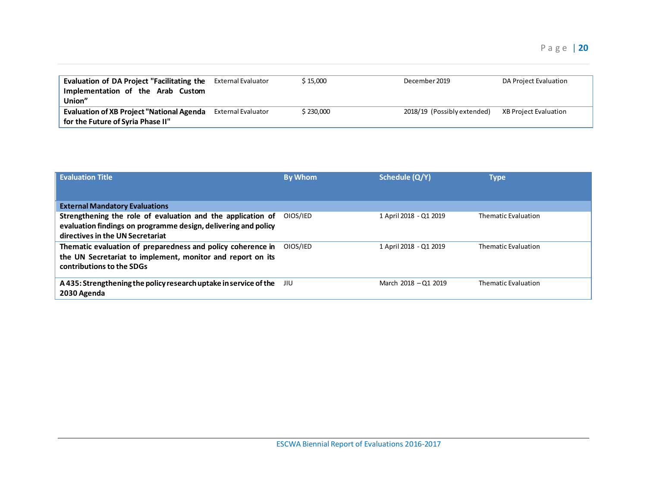| Evaluation of DA Project "Facilitating the<br>Implementation of the Arab Custom<br>Union" | External Evaluator        | \$15.000  | December 2019               | DA Project Evaluation |
|-------------------------------------------------------------------------------------------|---------------------------|-----------|-----------------------------|-----------------------|
| <b>Evaluation of XB Project "National Agenda</b><br>for the Future of Syria Phase II"     | <b>External Evaluator</b> | \$230,000 | 2018/19 (Possibly extended) | XB Project Evaluation |

| <b>Evaluation Title</b>                                                                                                       | <b>By Whom</b> | Schedule (Q/Y)         | Type                |
|-------------------------------------------------------------------------------------------------------------------------------|----------------|------------------------|---------------------|
|                                                                                                                               |                |                        |                     |
| <b>External Mandatory Evaluations</b>                                                                                         |                |                        |                     |
| Strengthening the role of evaluation and the application of<br>evaluation findings on programme design, delivering and policy | OIOS/IED       | 1 April 2018 - Q1 2019 | Thematic Evaluation |
| directives in the UN Secretariat                                                                                              |                |                        |                     |
| Thematic evaluation of preparedness and policy coherence in                                                                   | OIOS/IED       | 1 April 2018 - Q1 2019 | Thematic Evaluation |
| the UN Secretariat to implement, monitor and report on its                                                                    |                |                        |                     |
| contributions to the SDGs                                                                                                     |                |                        |                     |
| A 435: Strengthening the policy research uptake in service of the<br>2030 Agenda                                              | JIU            | March 2018 - Q1 2019   | Thematic Evaluation |